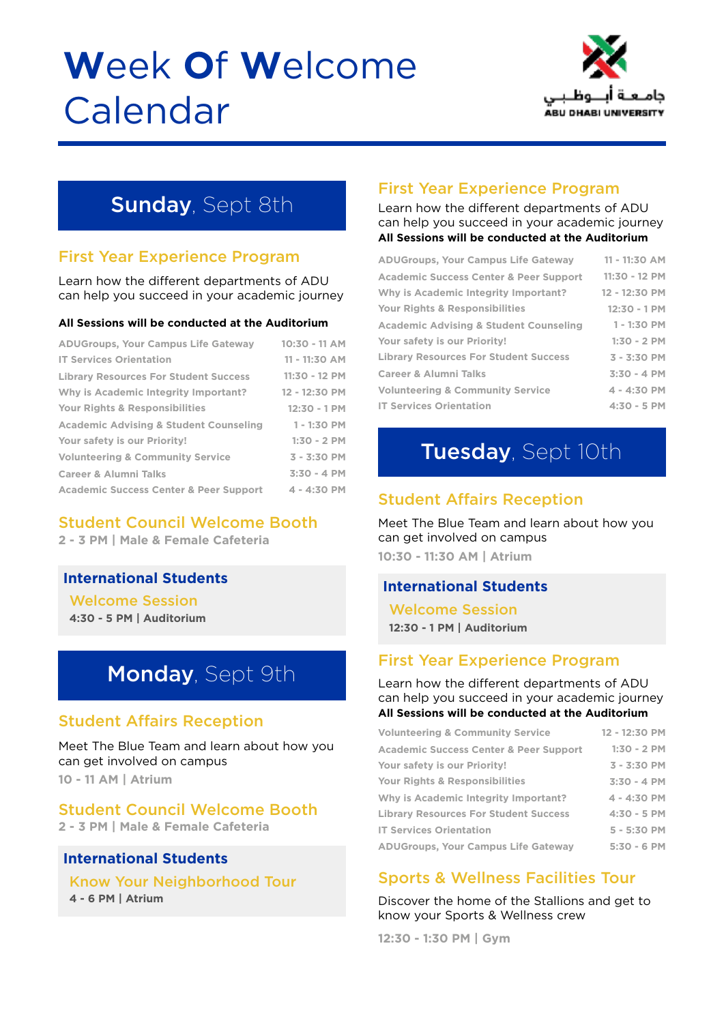# **W**eek **O**f **W**elcome Calendar



# **Sunday, Sept 8th**

#### First Year Experience Program

Learn how the different departments of ADU can help you succeed in your academic journey

#### **All Sessions will be conducted at the Auditorium**

| <b>ADUGroups, Your Campus Life Gateway</b>        | $10:30 - 11$ AM |
|---------------------------------------------------|-----------------|
| <b>IT Services Orientation</b>                    | 11 - 11:30 AM   |
| <b>Library Resources For Student Success</b>      | 11:30 - 12 PM   |
| Why is Academic Integrity Important?              | 12 - 12:30 PM   |
| <b>Your Rights &amp; Responsibilities</b>         | $12:30 - 1$ PM  |
| <b>Academic Advising &amp; Student Counseling</b> | $1 - 1:30$ PM   |
| Your safety is our Priority!                      | $1:30 - 2$ PM   |
| <b>Volunteering &amp; Community Service</b>       | $3 - 3:30$ PM   |
| <b>Career &amp; Alumni Talks</b>                  | $3:30 - 4 PM$   |
| <b>Academic Success Center &amp; Peer Support</b> | $4 - 4:30$ PM   |
|                                                   |                 |

#### Student Council Welcome Booth

**2 - 3 PM | Male & Female Cafeteria**

#### **International Students**

Welcome Session **4:30 - 5 PM | Auditorium**

# Monday, Sept 9th

#### Student Affairs Reception

Meet The Blue Team and learn about how you can get involved on campus **10 - 11 AM | Atrium**

#### Student Council Welcome Booth

**2 - 3 PM | Male & Female Cafeteria**

#### **International Students**

Know Your Neighborhood Tour **4 - 6 PM | Atrium**

#### First Year Experience Program

Learn how the different departments of ADU can help you succeed in your academic journey **All Sessions will be conducted at the Auditorium**

| <b>ADUGroups, Your Campus Life Gateway</b>        | $11 - 11:30$ AM |
|---------------------------------------------------|-----------------|
| <b>Academic Success Center &amp; Peer Support</b> | 11:30 - 12 PM   |
| Why is Academic Integrity Important?              | 12 - 12:30 PM   |
| Your Rights & Responsibilities                    | $12:30 - 1 PM$  |
| <b>Academic Advising &amp; Student Counseling</b> | $1 - 1:30$ PM   |
| Your safety is our Priority!                      | $1:30 - 2$ PM   |
| <b>Library Resources For Student Success</b>      | $3 - 3:30$ PM   |
| <b>Career &amp; Alumni Talks</b>                  | $3:30 - 4 PM$   |
| <b>Volunteering &amp; Community Service</b>       | $4 - 4:30$ PM   |
| <b>IT Services Orientation</b>                    | $4:30 - 5$ PM   |

# Tuesday, Sept 10th

#### Student Affairs Reception

Meet The Blue Team and learn about how you can get involved on campus **10:30 - 11:30 AM | Atrium**

#### **International Students**

Welcome Session **12:30 - 1 PM | Auditorium**

#### First Year Experience Program

Learn how the different departments of ADU can help you succeed in your academic journey **All Sessions will be conducted at the Auditorium**

| <b>Volunteering &amp; Community Service</b>       | 12 - 12:30 PM |
|---------------------------------------------------|---------------|
| <b>Academic Success Center &amp; Peer Support</b> | $1:30 - 2$ PM |
| Your safety is our Priority!                      | $3 - 3:30$ PM |
| Your Rights & Responsibilities                    | $3:30 - 4$ PM |
| Why is Academic Integrity Important?              | $4 - 4:30$ PM |
| <b>Library Resources For Student Success</b>      | $4:30 - 5$ PM |
| <b>IT Services Orientation</b>                    | $5 - 5:30$ PM |
| <b>ADUGroups, Your Campus Life Gateway</b>        | $5:30 - 6$ PM |

#### Sports & Wellness Facilities Tour

Discover the home of the Stallions and get to know your Sports & Wellness crew

**12:30 - 1:30 PM | Gym**